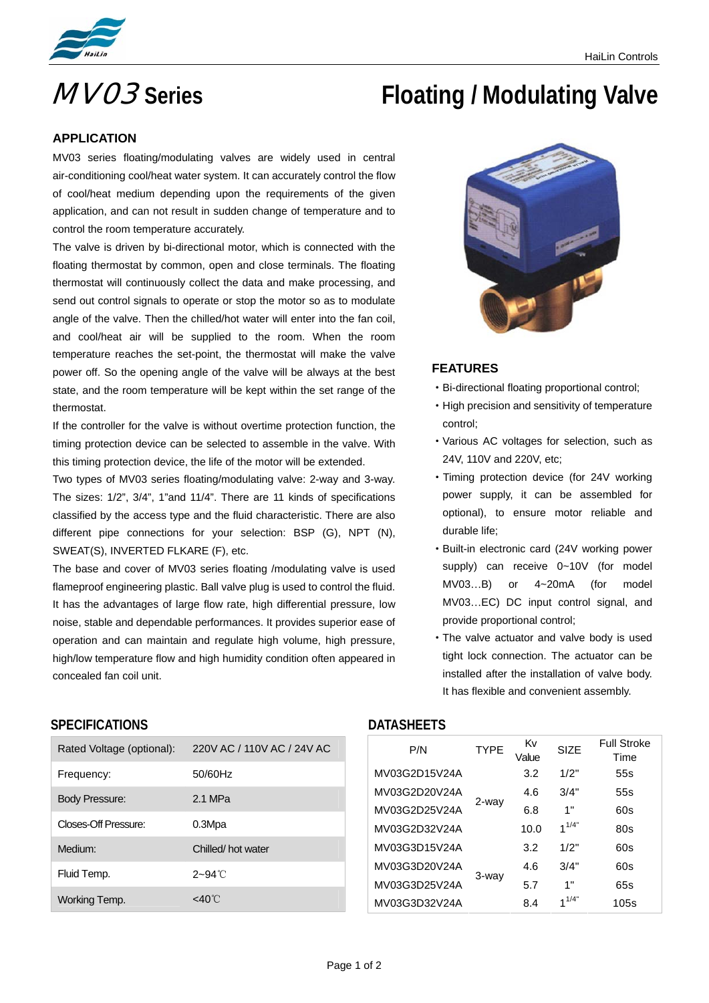

# **MVO3** Series **Floating / Modulating Valve**

#### **APPLICATION**

MV03 series floating/modulating valves are widely used in central air-conditioning cool/heat water system. It can accurately control the flow of cool/heat medium depending upon the requirements of the given application, and can not result in sudden change of temperature and to control the room temperature accurately.

The valve is driven by bi-directional motor, which is connected with the floating thermostat by common, open and close terminals. The floating thermostat will continuously collect the data and make processing, and send out control signals to operate or stop the motor so as to modulate angle of the valve. Then the chilled/hot water will enter into the fan coil, and cool/heat air will be supplied to the room. When the room temperature reaches the set-point, the thermostat will make the valve power off. So the opening angle of the valve will be always at the best state, and the room temperature will be kept within the set range of the thermostat.

If the controller for the valve is without overtime protection function, the timing protection device can be selected to assemble in the valve. With this timing protection device, the life of the motor will be extended.

Two types of MV03 series floating/modulating valve: 2-way and 3-way. The sizes: 1/2", 3/4", 1"and 11/4". There are 11 kinds of specifications classified by the access type and the fluid characteristic. There are also different pipe connections for your selection: BSP (G), NPT (N), SWEAT(S), INVERTED FLKARE (F), etc.

The base and cover of MV03 series floating /modulating valve is used flameproof engineering plastic. Ball valve plug is used to control the fluid. It has the advantages of large flow rate, high differential pressure, low noise, stable and dependable performances. It provides superior ease of operation and can maintain and regulate high volume, high pressure, high/low temperature flow and high humidity condition often appeared in concealed fan coil unit.



#### **FEATURES**

- ·Bi-directional floating proportional control;
- ·High precision and sensitivity of temperature control;
- ·Various AC voltages for selection, such as 24V, 110V and 220V, etc;
- ·Timing protection device (for 24V working power supply, it can be assembled for optional), to ensure motor reliable and durable life;
- ·Built-in electronic card (24V working power supply) can receive 0~10V (for model MV03…B) or 4~20mA (for model MV03…EC) DC input control signal, and provide proportional control;
- ·The valve actuator and valve body is used tight lock connection. The actuator can be installed after the installation of valve body. It has flexible and convenient assembly.

### **SPECIFICATIONS DATASHEETS**

| Rated Voltage (optional): | 220V AC / 110V AC / 24V AC |
|---------------------------|----------------------------|
| Frequency:                | 50/60Hz                    |
| Body Pressure:            | 2.1 MPa                    |
| Closes-Off Pressure:      | 0.3Mpa                     |
| Medium:                   | Chilled/hot water          |
| Fluid Temp.               | $2 - 94$ °C                |
| Working Temp.             | <40℃                       |

| P/N           | <b>TYPE</b> | Κv<br>Value | <b>SIZE</b> | <b>Full Stroke</b><br>Time |
|---------------|-------------|-------------|-------------|----------------------------|
| MV03G2D15V24A |             | 3.2         | 1/2"        | 55s                        |
| MV03G2D20V24A | 2-way       | 4.6         | 3/4"        | 55s                        |
| MV03G2D25V24A |             | 6.8         | 1"          | 60s                        |
| MV03G2D32V24A |             | 10.0        | $1^{1/4"}$  | 80s                        |
| MV03G3D15V24A | 3-way       | 3.2         | 1/2"        | 60s                        |
| MV03G3D20V24A |             | 4.6         | 3/4"        | 60s                        |
| MV03G3D25V24A |             | 5.7         | 1"          | 65s                        |
| MV03G3D32V24A |             | 8.4         | $1^{1/4"}$  | 105s                       |